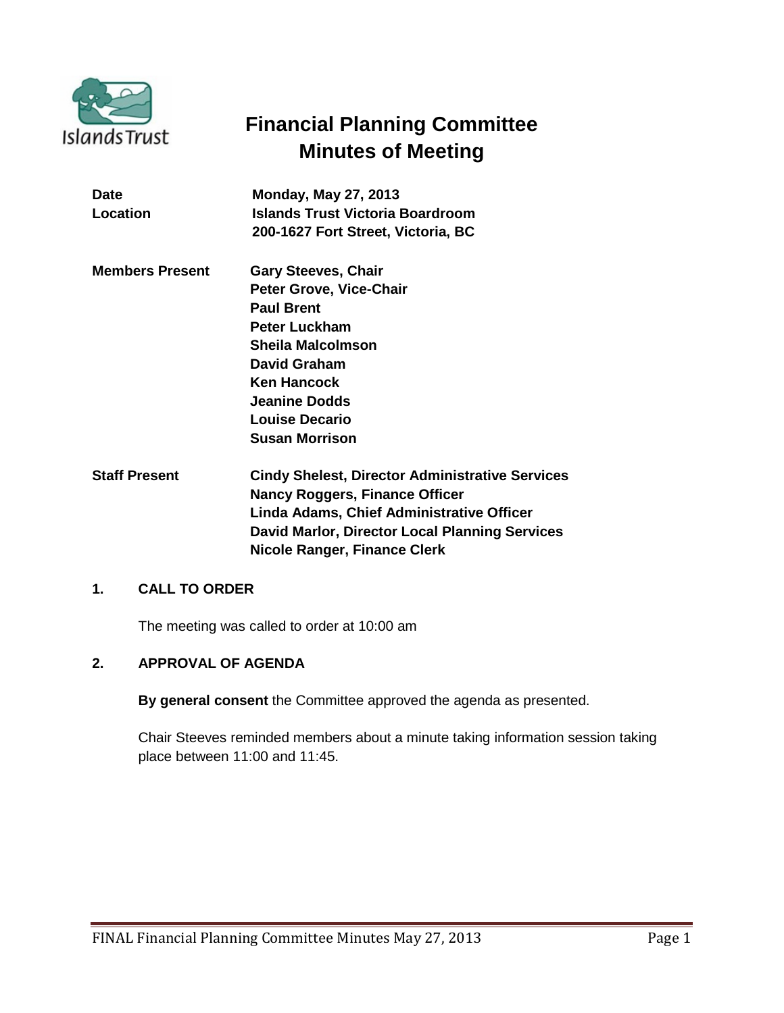

# **Financial Planning Committee Minutes of Meeting**

| <b>Date</b>            | <b>Monday, May 27, 2013</b>                            |
|------------------------|--------------------------------------------------------|
| Location               | Islands Trust Victoria Boardroom                       |
|                        | 200-1627 Fort Street, Victoria, BC                     |
| <b>Members Present</b> | <b>Gary Steeves, Chair</b>                             |
|                        | <b>Peter Grove, Vice-Chair</b>                         |
|                        | <b>Paul Brent</b>                                      |
|                        | Peter Luckham                                          |
|                        | Sheila Malcolmson                                      |
|                        | David Graham                                           |
|                        | <b>Ken Hancock</b>                                     |
|                        | Jeanine Dodds                                          |
|                        | Louise Decario                                         |
|                        | <b>Susan Morrison</b>                                  |
| <b>Staff Present</b>   | <b>Cindy Shelest, Director Administrative Services</b> |
|                        | <b>Nancy Roggers, Finance Officer</b>                  |
|                        |                                                        |

**Linda Adams, Chief Administrative Officer David Marlor, Director Local Planning Services Nicole Ranger, Finance Clerk**

# **1. CALL TO ORDER**

The meeting was called to order at 10:00 am

# **2. APPROVAL OF AGENDA**

**By general consent** the Committee approved the agenda as presented.

Chair Steeves reminded members about a minute taking information session taking place between 11:00 and 11:45.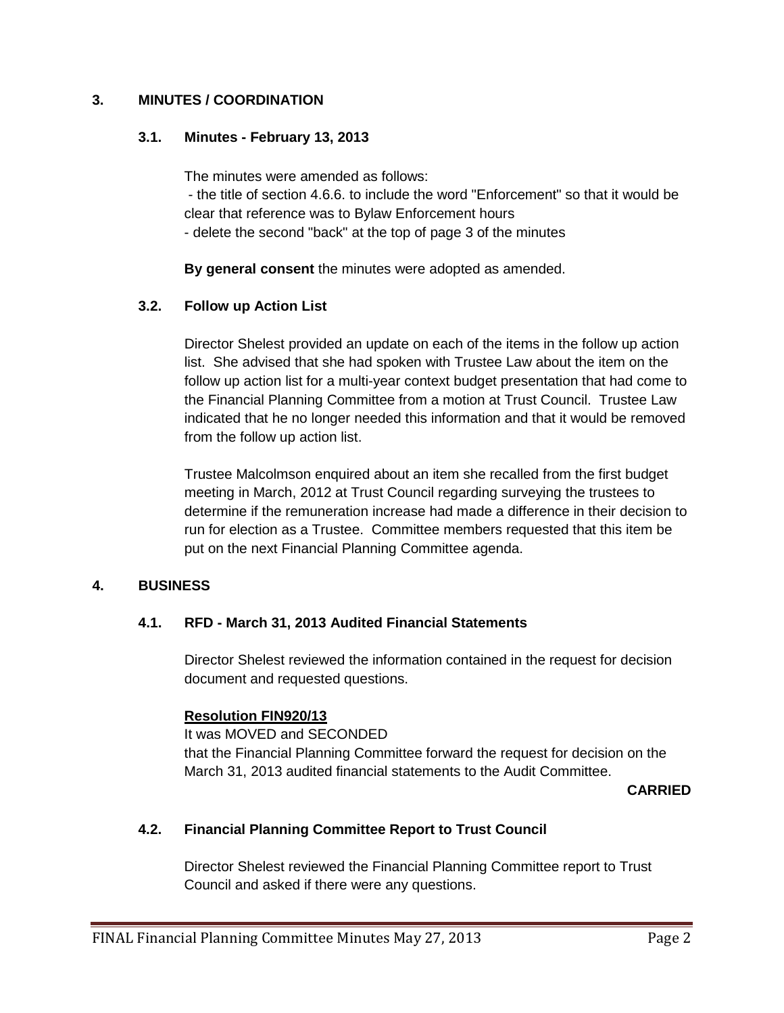## **3. MINUTES / COORDINATION**

## **3.1. Minutes - February 13, 2013**

The minutes were amended as follows:

- the title of section 4.6.6. to include the word "Enforcement" so that it would be clear that reference was to Bylaw Enforcement hours

- delete the second "back" at the top of page 3 of the minutes

**By general consent** the minutes were adopted as amended.

# **3.2. Follow up Action List**

Director Shelest provided an update on each of the items in the follow up action list. She advised that she had spoken with Trustee Law about the item on the follow up action list for a multi-year context budget presentation that had come to the Financial Planning Committee from a motion at Trust Council. Trustee Law indicated that he no longer needed this information and that it would be removed from the follow up action list.

Trustee Malcolmson enquired about an item she recalled from the first budget meeting in March, 2012 at Trust Council regarding surveying the trustees to determine if the remuneration increase had made a difference in their decision to run for election as a Trustee. Committee members requested that this item be put on the next Financial Planning Committee agenda.

# **4. BUSINESS**

# **4.1. RFD - March 31, 2013 Audited Financial Statements**

Director Shelest reviewed the information contained in the request for decision document and requested questions.

# **Resolution FIN920/13**

It was MOVED and SECONDED that the Financial Planning Committee forward the request for decision on the March 31, 2013 audited financial statements to the Audit Committee.

**CARRIED** 

# **4.2. Financial Planning Committee Report to Trust Council**

Director Shelest reviewed the Financial Planning Committee report to Trust Council and asked if there were any questions.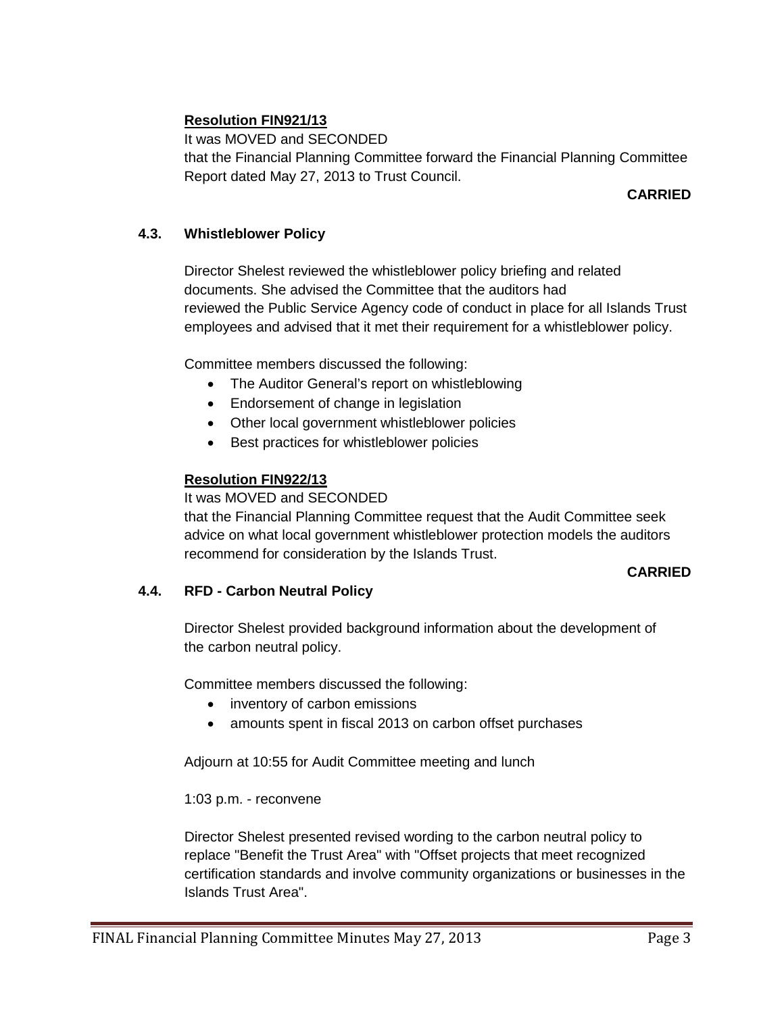# **Resolution FIN921/13**

It was MOVED and SECONDED that the Financial Planning Committee forward the Financial Planning Committee Report dated May 27, 2013 to Trust Council.

## **CARRIED**

## **4.3. Whistleblower Policy**

Director Shelest reviewed the whistleblower policy briefing and related documents. She advised the Committee that the auditors had reviewed the Public Service Agency code of conduct in place for all Islands Trust employees and advised that it met their requirement for a whistleblower policy.

Committee members discussed the following:

- The Auditor General's report on whistleblowing
- Endorsement of change in legislation
- Other local government whistleblower policies
- Best practices for whistleblower policies

## **Resolution FIN922/13**

#### It was MOVED and SECONDED

that the Financial Planning Committee request that the Audit Committee seek advice on what local government whistleblower protection models the auditors recommend for consideration by the Islands Trust.

#### **CARRIED**

#### **4.4. RFD - Carbon Neutral Policy**

Director Shelest provided background information about the development of the carbon neutral policy.

Committee members discussed the following:

- inventory of carbon emissions
- amounts spent in fiscal 2013 on carbon offset purchases

Adjourn at 10:55 for Audit Committee meeting and lunch

1:03 p.m. - reconvene

Director Shelest presented revised wording to the carbon neutral policy to replace "Benefit the Trust Area" with "Offset projects that meet recognized certification standards and involve community organizations or businesses in the Islands Trust Area".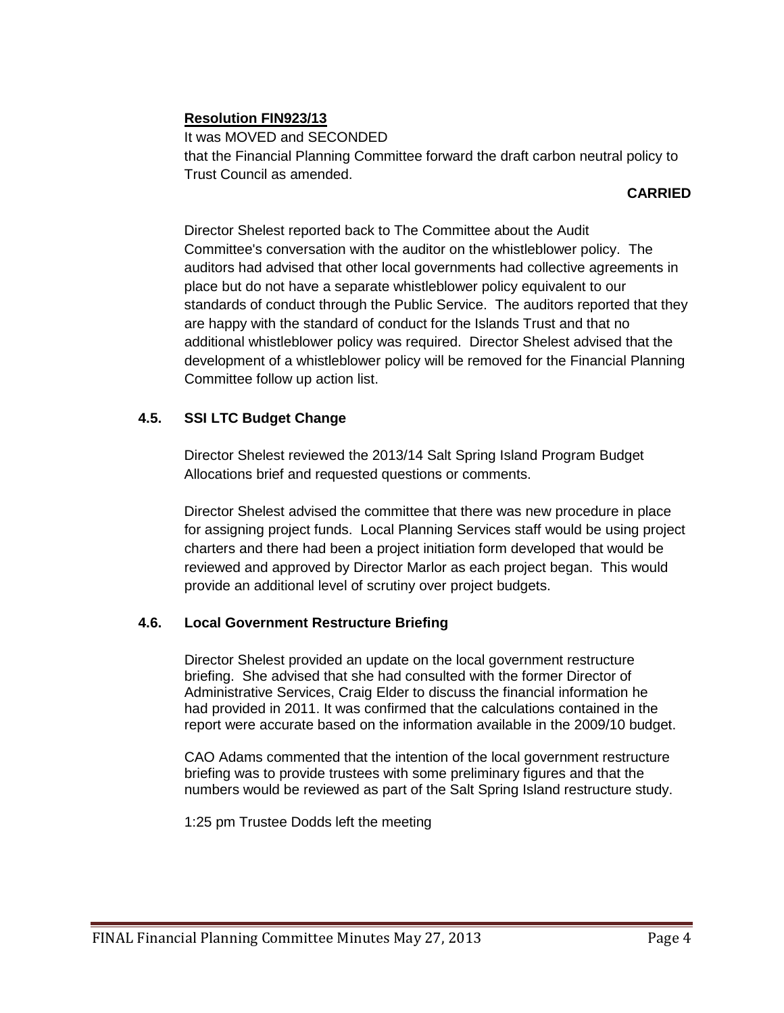# **Resolution FIN923/13**

It was MOVED and SECONDED that the Financial Planning Committee forward the draft carbon neutral policy to Trust Council as amended.

#### **CARRIED**

Director Shelest reported back to The Committee about the Audit Committee's conversation with the auditor on the whistleblower policy. The auditors had advised that other local governments had collective agreements in place but do not have a separate whistleblower policy equivalent to our standards of conduct through the Public Service. The auditors reported that they are happy with the standard of conduct for the Islands Trust and that no additional whistleblower policy was required. Director Shelest advised that the development of a whistleblower policy will be removed for the Financial Planning Committee follow up action list.

# **4.5. SSI LTC Budget Change**

Director Shelest reviewed the 2013/14 Salt Spring Island Program Budget Allocations brief and requested questions or comments.

Director Shelest advised the committee that there was new procedure in place for assigning project funds. Local Planning Services staff would be using project charters and there had been a project initiation form developed that would be reviewed and approved by Director Marlor as each project began. This would provide an additional level of scrutiny over project budgets.

# **4.6. Local Government Restructure Briefing**

Director Shelest provided an update on the local government restructure briefing. She advised that she had consulted with the former Director of Administrative Services, Craig Elder to discuss the financial information he had provided in 2011. It was confirmed that the calculations contained in the report were accurate based on the information available in the 2009/10 budget.

CAO Adams commented that the intention of the local government restructure briefing was to provide trustees with some preliminary figures and that the numbers would be reviewed as part of the Salt Spring Island restructure study.

1:25 pm Trustee Dodds left the meeting